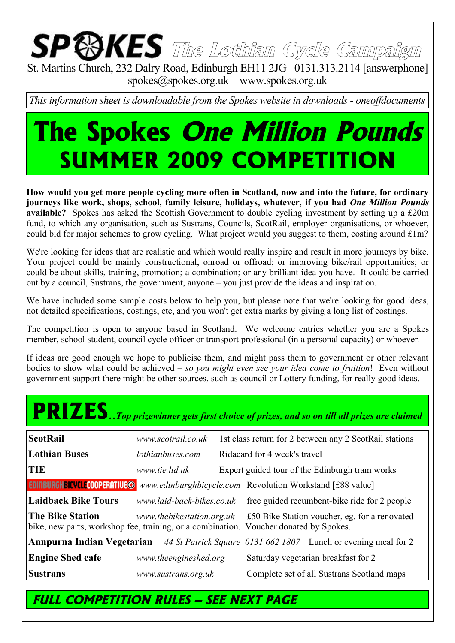# **The Lothian Cycle Campaign**

St. Martins Church, 232 Dalry Road, Edinburgh EH11 2JG 0131.313.2114 [answerphone] spokes@spokes.org.uk www.spokes.org.uk

*This information sheet is downloadable from the Spokes website in downloads - oneoffdocuments*

## **The Spokes One Million Pounds SUMMER 2009 COMPETITION**

**How would you get more people cycling more often in Scotland, now and into the future, for ordinary journeys like work, shops, school, family leisure, holidays, whatever, if you had** *One Million Pounds* **available?** Spokes has asked the Scottish Government to double cycling investment by setting up a £20m fund, to which any organisation, such as Sustrans, Councils, ScotRail, employer organisations, or whoever, could bid for major schemes to grow cycling. What project would you suggest to them, costing around £1m?

We're looking for ideas that are realistic and which would really inspire and result in more journeys by bike. Your project could be mainly constructional, onroad or offroad; or improving bike/rail opportunities; or could be about skills, training, promotion; a combination; or any brilliant idea you have. It could be carried out by a council, Sustrans, the government, anyone – you just provide the ideas and inspiration.

We have included some sample costs below to help you, but please note that we're looking for good ideas, not detailed specifications, costings, etc, and you won't get extra marks by giving a long list of costings.

The competition is open to anyone based in Scotland. We welcome entries whether you are a Spokes member, school student, council cycle officer or transport professional (in a personal capacity) or whoever.

If ideas are good enough we hope to publicise them, and might pass them to government or other relevant bodies to show what could be achieved – *so you might even see your idea come to fruition*! Even without government support there might be other sources, such as council or Lottery funding, for really good ideas.

## **PRIZES**..*Top prizewinner gets first choice of prizes, and so on till all prizes are claimed*

| <b>ScotRail</b>                                                                                                  | www.scotrail.co.uk    | 1st class return for 2 between any 2 ScotRail stations                  |                                                |                                                                                                  |
|------------------------------------------------------------------------------------------------------------------|-----------------------|-------------------------------------------------------------------------|------------------------------------------------|--------------------------------------------------------------------------------------------------|
| <b>Lothian Buses</b>                                                                                             | lothianbuses.com      | Ridacard for 4 week's travel                                            |                                                |                                                                                                  |
| TIE                                                                                                              | www.tie.ltd.uk        |                                                                         | Expert guided tour of the Edinburgh tram works |                                                                                                  |
| <b>EDINBURGHBICVCLE COOPERATIVE O</b> www.edinburghbicycle.com Revolution Workstand [£88 value]                  |                       |                                                                         |                                                |                                                                                                  |
| <b>Laidback Bike Tours</b>                                                                                       |                       |                                                                         |                                                | www.laid-back-bikes.co.uk free guided recumbent-bike ride for 2 people                           |
| <b>The Bike Station</b><br>bike, new parts, workshop fee, training, or a combination. Voucher donated by Spokes. |                       | www.thebikestation.org.uk £50 Bike Station voucher, eg. for a renovated |                                                |                                                                                                  |
|                                                                                                                  |                       |                                                                         |                                                | <b>Annpurna Indian Vegetarian</b> 44 St Patrick Square 0131 662 1807 Lunch or evening meal for 2 |
| <b>Engine Shed cafe</b>                                                                                          | www.theengineshed.org |                                                                         | Saturday vegetarian breakfast for 2            |                                                                                                  |
| <b>Sustrans</b>                                                                                                  | www.sustrans.org.uk   |                                                                         | Complete set of all Sustrans Scotland maps     |                                                                                                  |

#### **FULL COMPETITION RULES – SEE NEXT PAGE**